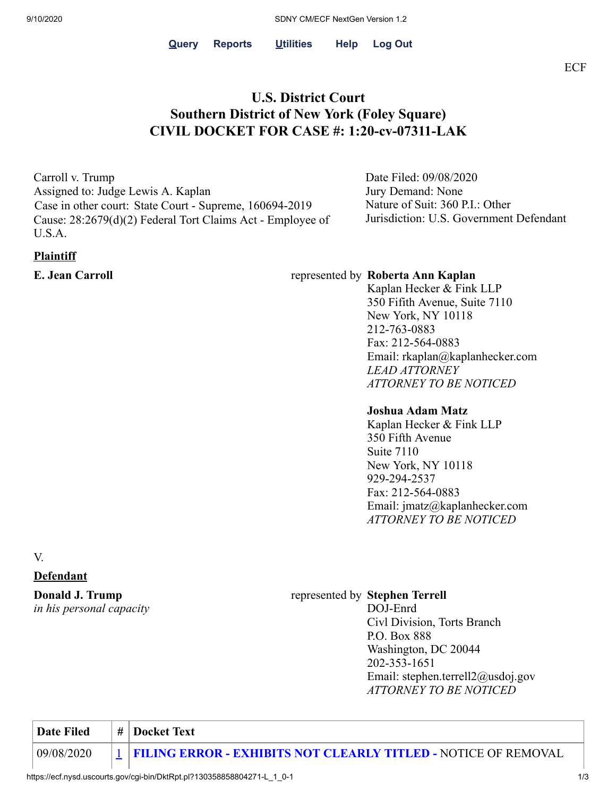# **U.S. District Court Southern District of New York (Foley Square) CIVIL DOCKET FOR CASE #: 1:20-cv-07311-LAK**

Carroll v. Trump Assigned to: Judge Lewis A. Kaplan Case in other court: State Court - Supreme, 160694-2019 Cause: 28:2679(d)(2) Federal Tort Claims Act - Employee of U.S.A.

## **Plaintiff**

Date Filed: 09/08/2020 Jury Demand: None Nature of Suit: 360 P.I.: Other Jurisdiction: U.S. Government Defendant

## **E. Jean Carroll E. Jean Carroll represented by Roberta Ann Kaplan**

Kaplan Hecker & Fink LLP 350 Fifith Avenue, Suite 7110 New York, NY 10118 212-763-0883 Fax: 212-564-0883 Email: rkaplan@kaplanhecker.com *LEAD ATTORNEY ATTORNEY TO BE NOTICED*

## **Joshua Adam Matz**

Kaplan Hecker & Fink LLP 350 Fifth Avenue Suite 7110 New York, NY 10118 929-294-2537 Fax: 212-564-0883 Email: jmatz@kaplanhecker.com *ATTORNEY TO BE NOTICED*

V.

### **Defendant**

## **Donald J. Trump** *in his personal capacity*

## represented by **Stephen Terrell**

DOJ-Enrd Civl Division, Torts Branch P.O. Box 888 Washington, DC 20044 202-353-1651 Email: stephen.terrell2@usdoj.gov *ATTORNEY TO BE NOTICED*

**Date Filed**  $\#$  **Docket Text** 09/08/2020 [1](https://ecf.nysd.uscourts.gov/doc1/127027553205) **FILING ERROR - EXHIBITS NOT CLEARLY TITLED -** NOTICE OF REMOVAL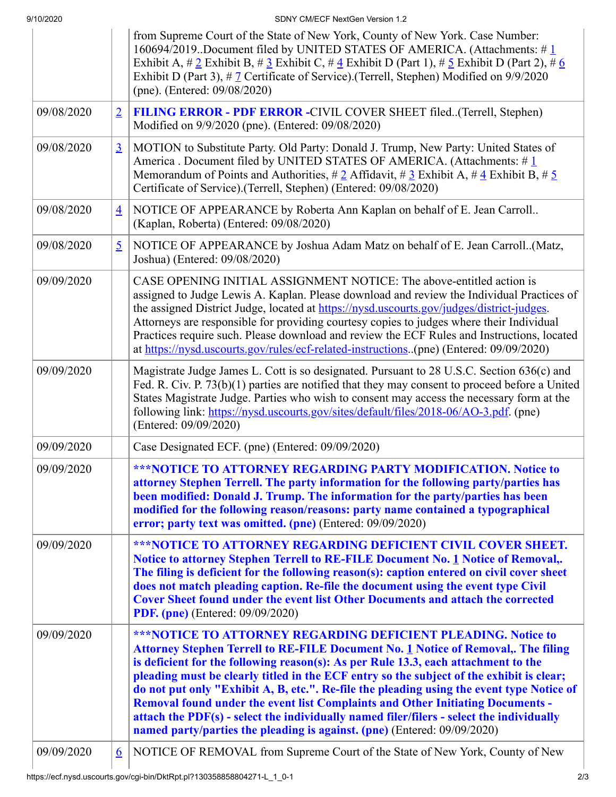9/10/2020 SDNY CM/ECF NextGen Version 1.2

|            |                | from Supreme Court of the State of New York, County of New York. Case Number:<br>160694/2019. Document filed by UNITED STATES OF AMERICA. (Attachments: #1<br>Exhibit A, $\# 2$ Exhibit B, $\# 3$ Exhibit C, $\# 4$ Exhibit D (Part 1), $\# 5$ Exhibit D (Part 2), $\# 6$<br>Exhibit D (Part 3), # 7 Certificate of Service). (Terrell, Stephen) Modified on 9/9/2020<br>(pne). (Entered: 09/08/2020)                                                                                                                                                                                                                                                                                                     |  |  |
|------------|----------------|-----------------------------------------------------------------------------------------------------------------------------------------------------------------------------------------------------------------------------------------------------------------------------------------------------------------------------------------------------------------------------------------------------------------------------------------------------------------------------------------------------------------------------------------------------------------------------------------------------------------------------------------------------------------------------------------------------------|--|--|
| 09/08/2020 | $\overline{2}$ | FILING ERROR - PDF ERROR - CIVIL COVER SHEET filed(Terrell, Stephen)<br>Modified on 9/9/2020 (pne). (Entered: 09/08/2020)                                                                                                                                                                                                                                                                                                                                                                                                                                                                                                                                                                                 |  |  |
| 09/08/2020 | $\overline{3}$ | MOTION to Substitute Party. Old Party: Donald J. Trump, New Party: United States of<br>America . Document filed by UNITED STATES OF AMERICA. (Attachments: $\#$ 1<br>Memorandum of Points and Authorities, # 2 Affidavit, # 3 Exhibit A, # $\frac{4}{3}$ Exhibit B, # $\frac{5}{3}$<br>Certificate of Service).(Terrell, Stephen) (Entered: 09/08/2020)                                                                                                                                                                                                                                                                                                                                                   |  |  |
| 09/08/2020 | $\overline{4}$ | NOTICE OF APPEARANCE by Roberta Ann Kaplan on behalf of E. Jean Carroll<br>(Kaplan, Roberta) (Entered: 09/08/2020)                                                                                                                                                                                                                                                                                                                                                                                                                                                                                                                                                                                        |  |  |
| 09/08/2020 | $\overline{5}$ | NOTICE OF APPEARANCE by Joshua Adam Matz on behalf of E. Jean Carroll(Matz,<br>Joshua) (Entered: 09/08/2020)                                                                                                                                                                                                                                                                                                                                                                                                                                                                                                                                                                                              |  |  |
| 09/09/2020 |                | CASE OPENING INITIAL ASSIGNMENT NOTICE: The above-entitled action is<br>assigned to Judge Lewis A. Kaplan. Please download and review the Individual Practices of<br>the assigned District Judge, located at https://nysd.uscourts.gov/judges/district-judges.<br>Attorneys are responsible for providing courtesy copies to judges where their Individual<br>Practices require such. Please download and review the ECF Rules and Instructions, located<br>at https://nysd.uscourts.gov/rules/ecf-related-instructions(pne) (Entered: 09/09/2020)                                                                                                                                                        |  |  |
| 09/09/2020 |                | Magistrate Judge James L. Cott is so designated. Pursuant to 28 U.S.C. Section 636(c) and<br>Fed. R. Civ. P. 73(b)(1) parties are notified that they may consent to proceed before a United<br>States Magistrate Judge. Parties who wish to consent may access the necessary form at the<br>following link: https://nysd.uscourts.gov/sites/default/files/2018-06/AO-3.pdf. (pne)<br>(Entered: 09/09/2020)                                                                                                                                                                                                                                                                                                |  |  |
| 09/09/2020 |                | Case Designated ECF. (pne) (Entered: 09/09/2020)                                                                                                                                                                                                                                                                                                                                                                                                                                                                                                                                                                                                                                                          |  |  |
| 09/09/2020 |                | <b>***NOTICE TO ATTORNEY REGARDING PARTY MODIFICATION. Notice to</b><br>attorney Stephen Terrell. The party information for the following party/parties has<br>been modified: Donald J. Trump. The information for the party/parties has been<br>modified for the following reason/reasons: party name contained a typographical<br>error; party text was omitted. (pne) (Entered: 09/09/2020)                                                                                                                                                                                                                                                                                                            |  |  |
| 09/09/2020 |                | <b>***NOTICE TO ATTORNEY REGARDING DEFICIENT CIVIL COVER SHEET.</b><br>Notice to attorney Stephen Terrell to RE-FILE Document No. 1 Notice of Removal,.<br>The filing is deficient for the following reason(s): caption entered on civil cover sheet<br>does not match pleading caption. Re-file the document using the event type Civil<br><b>Cover Sheet found under the event list Other Documents and attach the corrected</b><br><b>PDF.</b> (pne) (Entered: 09/09/2020)                                                                                                                                                                                                                             |  |  |
| 09/09/2020 |                | <b>***NOTICE TO ATTORNEY REGARDING DEFICIENT PLEADING. Notice to</b><br>Attorney Stephen Terrell to RE-FILE Document No. 1 Notice of Removal,. The filing<br>is deficient for the following reason(s): As per Rule 13.3, each attachment to the<br>pleading must be clearly titled in the ECF entry so the subject of the exhibit is clear;<br>do not put only "Exhibit A, B, etc.". Re-file the pleading using the event type Notice of<br><b>Removal found under the event list Complaints and Other Initiating Documents -</b><br>attach the PDF(s) - select the individually named filer/filers - select the individually<br>named party/parties the pleading is against. (pne) (Entered: 09/09/2020) |  |  |
| 09/09/2020 | 6              | NOTICE OF REMOVAL from Supreme Court of the State of New York, County of New                                                                                                                                                                                                                                                                                                                                                                                                                                                                                                                                                                                                                              |  |  |